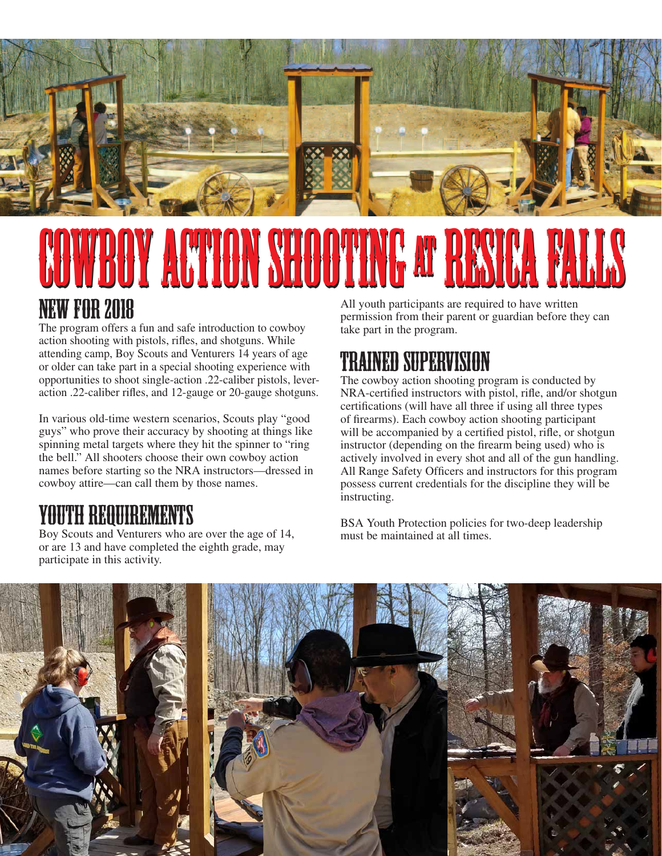

## **Y ACTION SHOOT** NEW FOR 2018 All youth participants are required to have written

The program offers a fun and safe introduction to cowboy action shooting with pistols, rifles, and shotguns. While attending camp, Boy Scouts and Venturers 14 years of age or older can take part in a special shooting experience with opportunities to shoot single-action .22-caliber pistols, leveraction .22-caliber rifles, and 12-gauge or 20-gauge shotguns.

In various old-time western scenarios, Scouts play "good guys" who prove their accuracy by shooting at things like spinning metal targets where they hit the spinner to "ring the bell." All shooters choose their own cowboy action names before starting so the NRA instructors—dressed in cowboy attire—can call them by those names.

#### YOUTH REQUIREMENTS

Boy Scouts and Venturers who are over the age of 14, or are 13 and have completed the eighth grade, may participate in this activity.

permission from their parent or guardian before they can take part in the program.

### TRAINED SUPERVISION

The cowboy action shooting program is conducted by NRA-certified instructors with pistol, rifle, and/or shotgun certifications (will have all three if using all three types of firearms). Each cowboy action shooting participant will be accompanied by a certified pistol, rifle, or shotgun instructor (depending on the firearm being used) who is actively involved in every shot and all of the gun handling. All Range Safety Officers and instructors for this program possess current credentials for the discipline they will be instructing.

BSA Youth Protection policies for two-deep leadership must be maintained at all times.